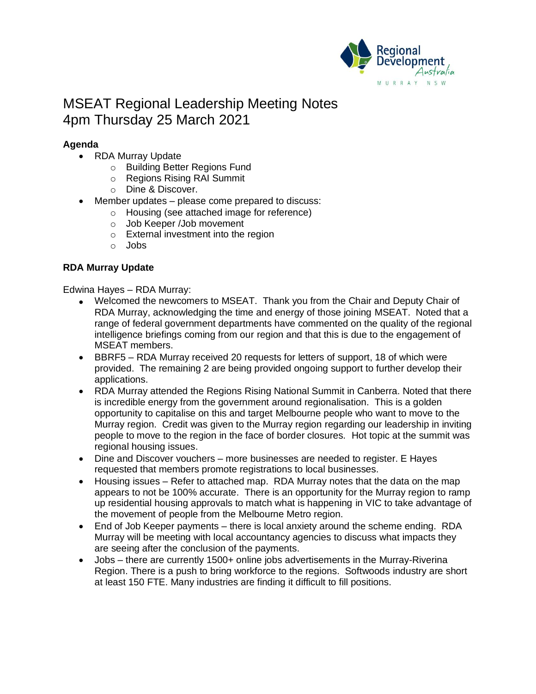

# MSEAT Regional Leadership Meeting Notes 4pm Thursday 25 March 2021

# **Agenda**

- RDA Murray Update
	- o Building Better Regions Fund
	- o Regions Rising RAI Summit
	- o Dine & Discover.
- Member updates please come prepared to discuss:
	- o Housing (see attached image for reference)
	- o Job Keeper /Job movement
	- o External investment into the region
	- o Jobs

# **RDA Murray Update**

Edwina Hayes – RDA Murray:

- Welcomed the newcomers to MSEAT. Thank you from the Chair and Deputy Chair of RDA Murray, acknowledging the time and energy of those joining MSEAT. Noted that a range of federal government departments have commented on the quality of the regional intelligence briefings coming from our region and that this is due to the engagement of MSEAT members.
- BBRF5 RDA Murray received 20 requests for letters of support, 18 of which were provided. The remaining 2 are being provided ongoing support to further develop their applications.
- RDA Murray attended the Regions Rising National Summit in Canberra. Noted that there is incredible energy from the government around regionalisation. This is a golden opportunity to capitalise on this and target Melbourne people who want to move to the Murray region. Credit was given to the Murray region regarding our leadership in inviting people to move to the region in the face of border closures. Hot topic at the summit was regional housing issues.
- Dine and Discover vouchers more businesses are needed to register. E Hayes requested that members promote registrations to local businesses.
- Housing issues Refer to attached map. RDA Murray notes that the data on the map appears to not be 100% accurate. There is an opportunity for the Murray region to ramp up residential housing approvals to match what is happening in VIC to take advantage of the movement of people from the Melbourne Metro region.
- End of Job Keeper payments there is local anxiety around the scheme ending. RDA Murray will be meeting with local accountancy agencies to discuss what impacts they are seeing after the conclusion of the payments.
- Jobs there are currently 1500+ online jobs advertisements in the Murray-Riverina Region. There is a push to bring workforce to the regions. Softwoods industry are short at least 150 FTE. Many industries are finding it difficult to fill positions.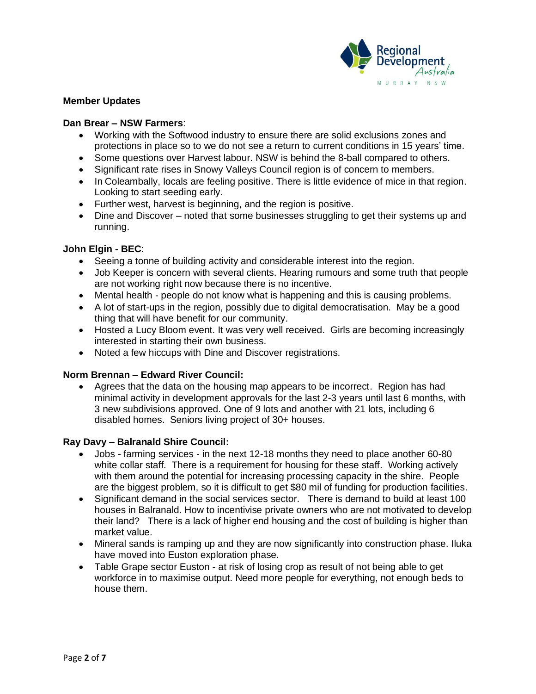

## **Member Updates**

#### **Dan Brear – NSW Farmers**:

- Working with the Softwood industry to ensure there are solid exclusions zones and protections in place so to we do not see a return to current conditions in 15 years' time.
- Some questions over Harvest labour. NSW is behind the 8-ball compared to others.
- Significant rate rises in Snowy Valleys Council region is of concern to members.
- In Coleambally, locals are feeling positive. There is little evidence of mice in that region. Looking to start seeding early.
- Further west, harvest is beginning, and the region is positive.
- Dine and Discover noted that some businesses struggling to get their systems up and running.

## **John Elgin - BEC**:

- Seeing a tonne of building activity and considerable interest into the region.
- Job Keeper is concern with several clients. Hearing rumours and some truth that people are not working right now because there is no incentive.
- Mental health people do not know what is happening and this is causing problems.
- A lot of start-ups in the region, possibly due to digital democratisation. May be a good thing that will have benefit for our community.
- Hosted a Lucy Bloom event. It was very well received. Girls are becoming increasingly interested in starting their own business.
- Noted a few hiccups with Dine and Discover registrations.

# **Norm Brennan – Edward River Council:**

• Agrees that the data on the housing map appears to be incorrect. Region has had minimal activity in development approvals for the last 2-3 years until last 6 months, with 3 new subdivisions approved. One of 9 lots and another with 21 lots, including 6 disabled homes. Seniors living project of 30+ houses.

#### **Ray Davy – Balranald Shire Council:**

- Jobs farming services in the next 12-18 months they need to place another 60-80 white collar staff. There is a requirement for housing for these staff. Working actively with them around the potential for increasing processing capacity in the shire. People are the biggest problem, so it is difficult to get \$80 mil of funding for production facilities.
- Significant demand in the social services sector. There is demand to build at least 100 houses in Balranald. How to incentivise private owners who are not motivated to develop their land? There is a lack of higher end housing and the cost of building is higher than market value.
- Mineral sands is ramping up and they are now significantly into construction phase. Iluka have moved into Euston exploration phase.
- Table Grape sector Euston at risk of losing crop as result of not being able to get workforce in to maximise output. Need more people for everything, not enough beds to house them.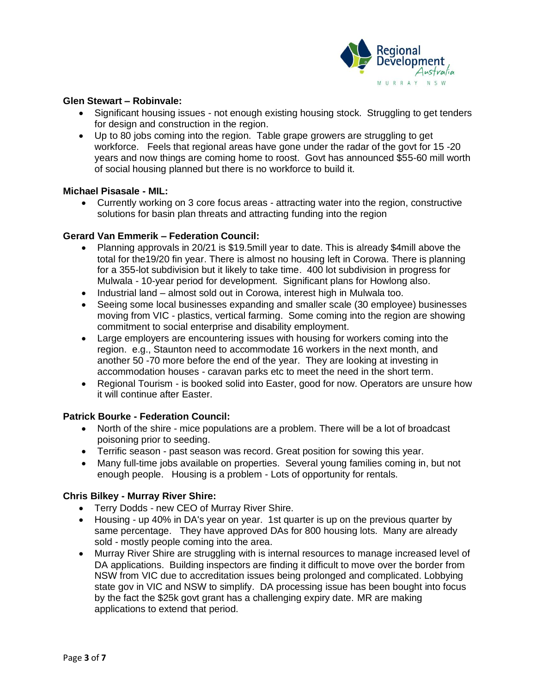

### **Glen Stewart – Robinvale:**

- Significant housing issues not enough existing housing stock. Struggling to get tenders for design and construction in the region.
- Up to 80 jobs coming into the region. Table grape growers are struggling to get workforce. Feels that regional areas have gone under the radar of the govt for 15 -20 years and now things are coming home to roost. Govt has announced \$55-60 mill worth of social housing planned but there is no workforce to build it.

#### **Michael Pisasale - MIL:**

• Currently working on 3 core focus areas - attracting water into the region, constructive solutions for basin plan threats and attracting funding into the region

## **Gerard Van Emmerik – Federation Council:**

- Planning approvals in 20/21 is \$19.5mill year to date. This is already \$4mill above the total for the19/20 fin year. There is almost no housing left in Corowa. There is planning for a 355-lot subdivision but it likely to take time. 400 lot subdivision in progress for Mulwala - 10-year period for development. Significant plans for Howlong also.
- Industrial land almost sold out in Corowa, interest high in Mulwala too.
- Seeing some local businesses expanding and smaller scale (30 employee) businesses moving from VIC - plastics, vertical farming. Some coming into the region are showing commitment to social enterprise and disability employment.
- Large employers are encountering issues with housing for workers coming into the region. e.g., Staunton need to accommodate 16 workers in the next month, and another 50 -70 more before the end of the year. They are looking at investing in accommodation houses - caravan parks etc to meet the need in the short term.
- Regional Tourism is booked solid into Easter, good for now. Operators are unsure how it will continue after Easter.

#### **Patrick Bourke - Federation Council:**

- North of the shire mice populations are a problem. There will be a lot of broadcast poisoning prior to seeding.
- Terrific season past season was record. Great position for sowing this year.
- Many full-time jobs available on properties. Several young families coming in, but not enough people. Housing is a problem - Lots of opportunity for rentals.

# **Chris Bilkey - Murray River Shire:**

- Terry Dodds new CEO of Murray River Shire.
- Housing up 40% in DA's year on year. 1st quarter is up on the previous quarter by same percentage. They have approved DAs for 800 housing lots. Many are already sold - mostly people coming into the area.
- Murray River Shire are struggling with is internal resources to manage increased level of DA applications. Building inspectors are finding it difficult to move over the border from NSW from VIC due to accreditation issues being prolonged and complicated. Lobbying state gov in VIC and NSW to simplify. DA processing issue has been bought into focus by the fact the \$25k govt grant has a challenging expiry date. MR are making applications to extend that period.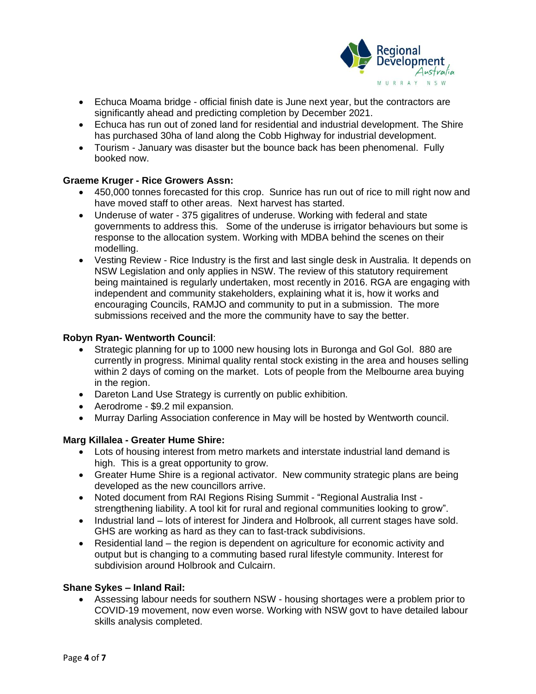

- Echuca Moama bridge official finish date is June next year, but the contractors are significantly ahead and predicting completion by December 2021.
- Echuca has run out of zoned land for residential and industrial development. The Shire has purchased 30ha of land along the Cobb Highway for industrial development.
- Tourism January was disaster but the bounce back has been phenomenal. Fully booked now.

# **Graeme Kruger - Rice Growers Assn:**

- 450,000 tonnes forecasted for this crop. Sunrice has run out of rice to mill right now and have moved staff to other areas. Next harvest has started.
- Underuse of water 375 gigalitres of underuse. Working with federal and state governments to address this. Some of the underuse is irrigator behaviours but some is response to the allocation system. Working with MDBA behind the scenes on their modelling.
- Vesting Review Rice Industry is the first and last single desk in Australia. It depends on NSW Legislation and only applies in NSW. The review of this statutory requirement being maintained is regularly undertaken, most recently in 2016. RGA are engaging with independent and community stakeholders, explaining what it is, how it works and encouraging Councils, RAMJO and community to put in a submission. The more submissions received and the more the community have to say the better.

#### **Robyn Ryan- Wentworth Council**:

- Strategic planning for up to 1000 new housing lots in Buronga and Gol Gol. 880 are currently in progress. Minimal quality rental stock existing in the area and houses selling within 2 days of coming on the market. Lots of people from the Melbourne area buying in the region.
- Dareton Land Use Strategy is currently on public exhibition.
- Aerodrome \$9.2 mil expansion.
- Murray Darling Association conference in May will be hosted by Wentworth council.

## **Marg Killalea - Greater Hume Shire:**

- Lots of housing interest from metro markets and interstate industrial land demand is high. This is a great opportunity to grow.
- Greater Hume Shire is a regional activator. New community strategic plans are being developed as the new councillors arrive.
- Noted document from RAI Regions Rising Summit "Regional Australia Inst strengthening liability. A tool kit for rural and regional communities looking to grow".
- Industrial land lots of interest for Jindera and Holbrook, all current stages have sold. GHS are working as hard as they can to fast-track subdivisions.
- Residential land the region is dependent on agriculture for economic activity and output but is changing to a commuting based rural lifestyle community. Interest for subdivision around Holbrook and Culcairn.

#### **Shane Sykes – Inland Rail:**

• Assessing labour needs for southern NSW - housing shortages were a problem prior to COVID-19 movement, now even worse. Working with NSW govt to have detailed labour skills analysis completed.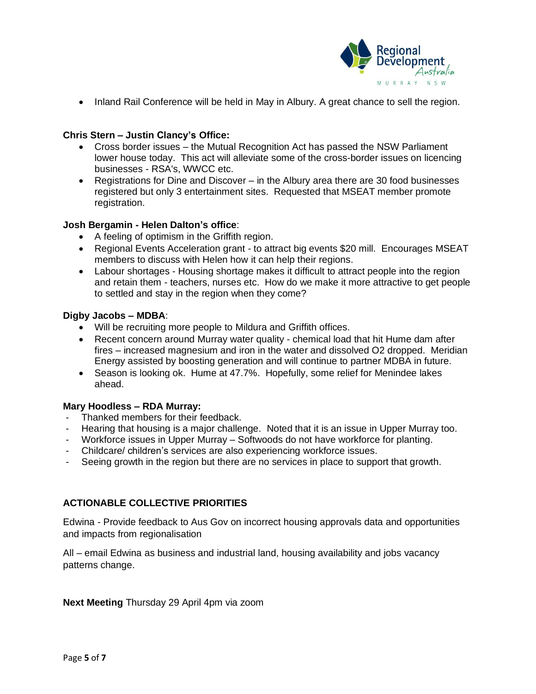

• Inland Rail Conference will be held in May in Albury. A great chance to sell the region.

## **Chris Stern – Justin Clancy's Office:**

- Cross border issues the Mutual Recognition Act has passed the NSW Parliament lower house today. This act will alleviate some of the cross-border issues on licencing businesses - RSA's, WWCC etc.
- Registrations for Dine and Discover in the Albury area there are 30 food businesses registered but only 3 entertainment sites. Requested that MSEAT member promote registration.

## **Josh Bergamin - Helen Dalton's office**:

- A feeling of optimism in the Griffith region.
- Regional Events Acceleration grant to attract big events \$20 mill. Encourages MSEAT members to discuss with Helen how it can help their regions.
- Labour shortages Housing shortage makes it difficult to attract people into the region and retain them - teachers, nurses etc. How do we make it more attractive to get people to settled and stay in the region when they come?

#### **Digby Jacobs – MDBA**:

- Will be recruiting more people to Mildura and Griffith offices.
- Recent concern around Murray water quality chemical load that hit Hume dam after fires – increased magnesium and iron in the water and dissolved O2 dropped. Meridian Energy assisted by boosting generation and will continue to partner MDBA in future.
- Season is looking ok. Hume at 47.7%. Hopefully, some relief for Menindee lakes ahead.

#### **Mary Hoodless – RDA Murray:**

- Thanked members for their feedback.
- Hearing that housing is a major challenge. Noted that it is an issue in Upper Murray too.
- Workforce issues in Upper Murray Softwoods do not have workforce for planting.
- Childcare/ children's services are also experiencing workforce issues.
- Seeing growth in the region but there are no services in place to support that growth.

# **ACTIONABLE COLLECTIVE PRIORITIES**

Edwina - Provide feedback to Aus Gov on incorrect housing approvals data and opportunities and impacts from regionalisation

All – email Edwina as business and industrial land, housing availability and jobs vacancy patterns change.

**Next Meeting** Thursday 29 April 4pm via zoom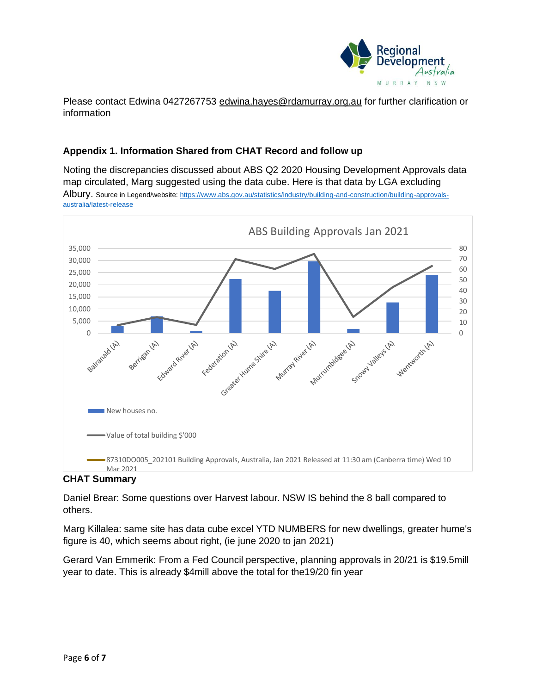

Please contact Edwina 0427267753 [edwina.hayes@rdamurray.org.au](mailto:edwina.hayes@rdamurray.org.au) for further clarification or information

# **Appendix 1. Information Shared from CHAT Record and follow up**

Noting the discrepancies discussed about ABS Q2 2020 Housing Development Approvals data map circulated, Marg suggested using the data cube. Here is that data by LGA excluding Albury. Source in Legend/website: [https://www.abs.gov.au/statistics/industry/building-and-construction/building-approvals](https://www.abs.gov.au/statistics/industry/building-and-construction/building-approvals-australia/latest-release)[australia/latest-release](https://www.abs.gov.au/statistics/industry/building-and-construction/building-approvals-australia/latest-release)



# **CHAT Summary**

Daniel Brear: Some questions over Harvest labour. NSW IS behind the 8 ball compared to others.

Marg Killalea: same site has data cube excel YTD NUMBERS for new dwellings, greater hume's figure is 40, which seems about right, (ie june 2020 to jan 2021)

Gerard Van Emmerik: From a Fed Council perspective, planning approvals in 20/21 is \$19.5mill year to date. This is already \$4mill above the total for the19/20 fin year